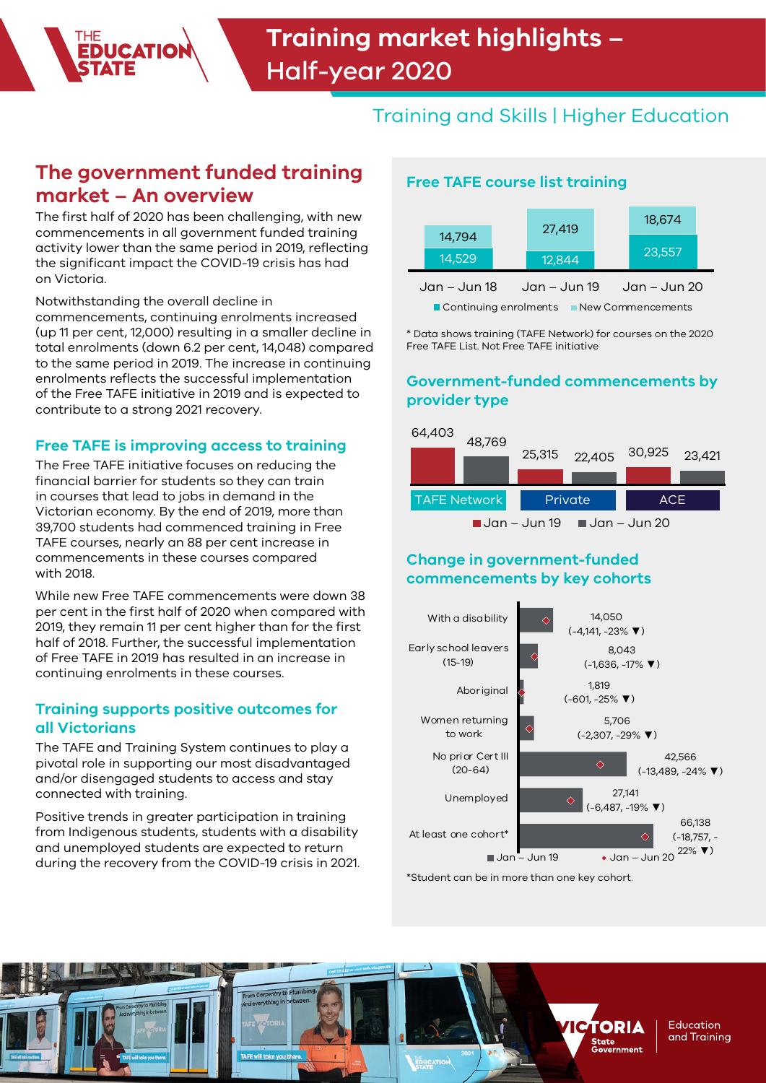# Training and Skills | Higher Education

## **The government funded training market – An overview**

The first half of 2020 has been challenging, with new commencements in all government funded training activity lower than the same period in 2019, reflecting the significant impact the COVID-19 crisis has had on Victoria.

Notwithstanding the overall decline in

commencements, continuing enrolments increased (up 11 per cent, 12,000) resulting in a smaller decline in total enrolments (down 6.2 per cent, 14,048) compared to the same period in 2019. The increase in continuing enrolments reflects the successful implementation of the Free TAFE initiative in 2019 and is expected to contribute to a strong 2021 recovery.

### **Free TAFE is improving access to training**

The Free TAFE initiative focuses on reducing the financial barrier for students so they can train in courses that lead to jobs in demand in the Victorian economy. By the end of 2019, more than 39,700 students had commenced training in Free TAFE courses, nearly an 88 per cent increase in commencements in these courses compared with 2018.

While new Free TAFE commencements were down 38 per cent in the first half of 2020 when compared with 2019, they remain 11 per cent higher than for the first half of 2018. Further, the successful implementation of Free TAFE in 2019 has resulted in an increase in continuing enrolments in these courses.

### **Training supports positive outcomes for all Victorians**

The TAFE and Training System continues to play a pivotal role in supporting our most disadvantaged and/or disengaged students to access and stay connected with training.

Positive trends in greater participation in training from Indigenous students, students with a disability and unemployed students are expected to return during the recovery from the COVID-19 crisis in 2021.

## **Free TAFE course list training**

|                                              |        |  | 27,419 |  |  | 18,674 |  |
|----------------------------------------------|--------|--|--------|--|--|--------|--|
|                                              | 14,794 |  |        |  |  |        |  |
|                                              | 14,529 |  | 12,844 |  |  | 23,557 |  |
| Jan – Jun 18<br>Jan – Jun 20<br>Jan – Jun 19 |        |  |        |  |  |        |  |
| Continuing enrolments<br>New Commencements   |        |  |        |  |  |        |  |

\* Data shows training (TAFE Network) for courses on the 2020 Free TAFE List. Not Free TAFE initiative

## **Government-funded commencements by provider type**



## **Change in government-funded commencements by key cohorts**



\*Student can be in more than one key cohort.

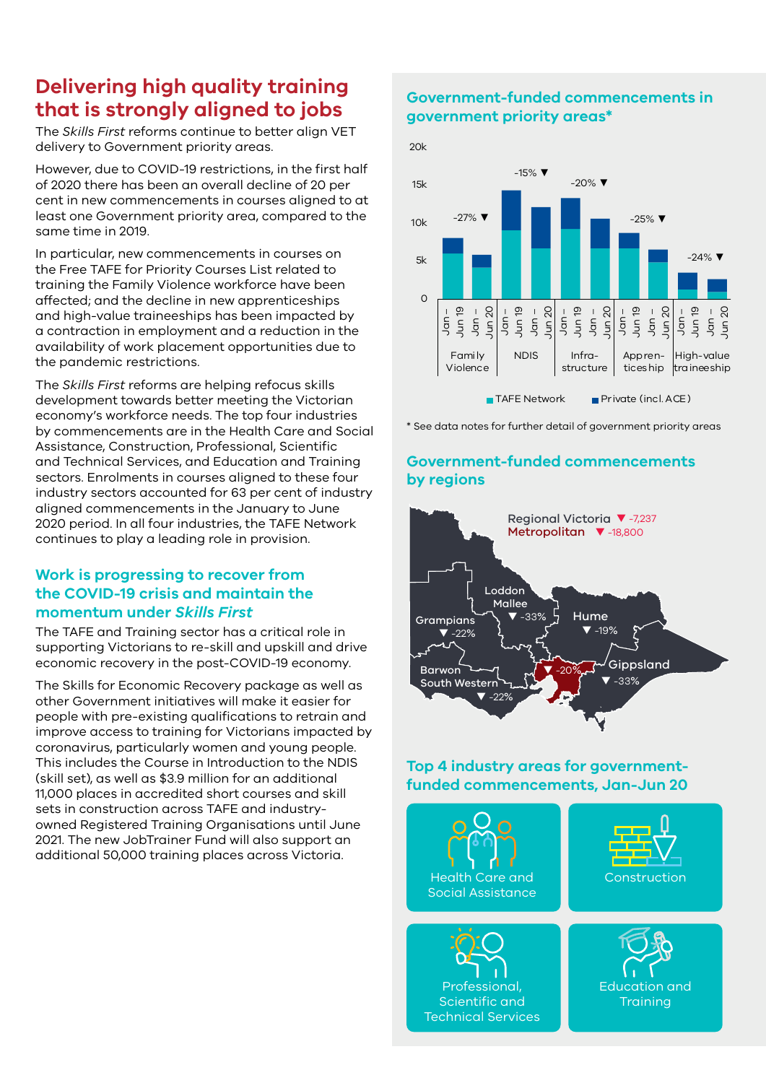## **Delivering high quality training that is strongly aligned to jobs**

The *Skills First* reforms continue to better align VET delivery to Government priority areas.

However, due to COVID-19 restrictions, in the first half of 2020 there has been an overall decline of 20 per cent in new commencements in courses aligned to at least one Government priority area, compared to the same time in 2019.

In particular, new commencements in courses on the Free TAFE for Priority Courses List related to training the Family Violence workforce have been affected; and the decline in new apprenticeships and high-value traineeships has been impacted by a contraction in employment and a reduction in the availability of work placement opportunities due to the pandemic restrictions.

The *Skills First* reforms are helping refocus skills development towards better meeting the Victorian economy's workforce needs. The top four industries by commencements are in the Health Care and Social Assistance, Construction, Professional, Scientific and Technical Services, and Education and Training sectors. Enrolments in courses aligned to these four industry sectors accounted for 63 per cent of industry aligned commencements in the January to June 2020 period. In all four industries, the TAFE Network continues to play a leading role in provision.

### **Work is progressing to recover from the COVID-19 crisis and maintain the momentum under** *Skills First*

The TAFE and Training sector has a critical role in supporting Victorians to re-skill and upskill and drive economic recovery in the post-COVID-19 economy.

The Skills for Economic Recovery package as well as other Government initiatives will make it easier for people with pre-existing qualifications to retrain and improve access to training for Victorians impacted by coronavirus, particularly women and young people. This includes the Course in Introduction to the NDIS (skill set), as well as \$3.9 million for an additional 11,000 places in accredited short courses and skill sets in construction across TAFE and industryowned Registered Training Organisations until June 2021. The new JobTrainer Fund will also support an additional 50,000 training places across Victoria.

## **Government-funded commencements in government priority areas\***



\* See data notes for further detail of government priority areas

## **Government-funded commencements by regions**



### **Top 4 industry areas for governmentfunded commencements, Jan-Jun 20**